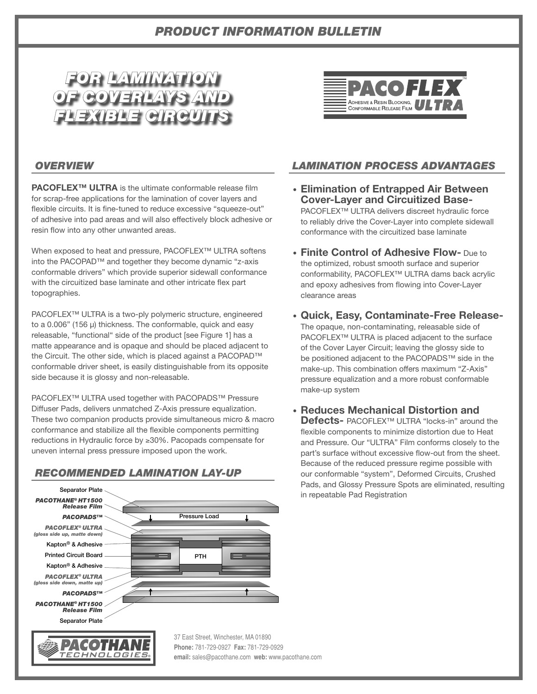# *PRODUCT INFORMATION BULLETIN*





#### *OVERVIEW*

**PACOFLEX™ ULTRA** is the ultimate conformable release film for scrap-free applications for the lamination of cover layers and flexible circuits. It is fine-tuned to reduce excessive "squeeze-out" of adhesive into pad areas and will also effectively block adhesive or resin flow into any other unwanted areas.

When exposed to heat and pressure, PACOFLEX™ ULTRA softens into the PACOPAD™ and together they become dynamic "z-axis conformable drivers" which provide superior sidewall conformance with the circuitized base laminate and other intricate flex part topographies.

PACOFLEX™ ULTRA is a two-ply polymeric structure, engineered to a 0.006" (156 μ) thickness. The conformable, quick and easy releasable, "functional" side of the product [see Figure 1] has a matte appearance and is opaque and should be placed adjacent to the Circuit. The other side, which is placed against a PACOPAD™ conformable driver sheet, is easily distinguishable from its opposite side because it is glossy and non-releasable.

PACOFLEX™ ULTRA used together with PACOPADS™ Pressure Diffuser Pads, delivers unmatched Z-Axis pressure equalization. These two companion products provide simultaneous micro & macro conformance and stabilize all the flexible components permitting reductions in Hydraulic force by ≥30%. Pacopads compensate for uneven internal press pressure imposed upon the work.

## *RECOMMENDED LAMINATION LAY-UP*



## *LAMINATION PROCESS ADVANTAGES*

- **Elimination of Entrapped Air Between Cover-Layer and Circuitized Base-**PACOFLEX™ ULTRA delivers discreet hydraulic force to reliably drive the Cover-Layer into complete sidewall conformance with the circuitized base laminate
- **Finite Control of Adhesive Flow-** Due to the optimized, robust smooth surface and superior conformability, PACOFLEX™ ULTRA dams back acrylic and epoxy adhesives from flowing into Cover-Layer clearance areas
- **Quick, Easy, Contaminate-Free Release-**The opaque, non-contaminating, releasable side of PACOFLEX™ ULTRA is placed adjacent to the surface of the Cover Layer Circuit; leaving the glossy side to be positioned adjacent to the PACOPADS™ side in the make-up. This combination offers maximum "Z-Axis" pressure equalization and a more robust conformable make-up system
- **Reduces Mechanical Distortion and Defects-** PACOFLEX™ ULTRA "locks-in" around the flexible components to minimize distortion due to Heat and Pressure. Our "ULTRA" Film conforms closely to the part's surface without excessive flow-out from the sheet. Because of the reduced pressure regime possible with our conformable "system", Deformed Circuits, Crushed Pads, and Glossy Pressure Spots are eliminated, resulting in repeatable Pad Registration